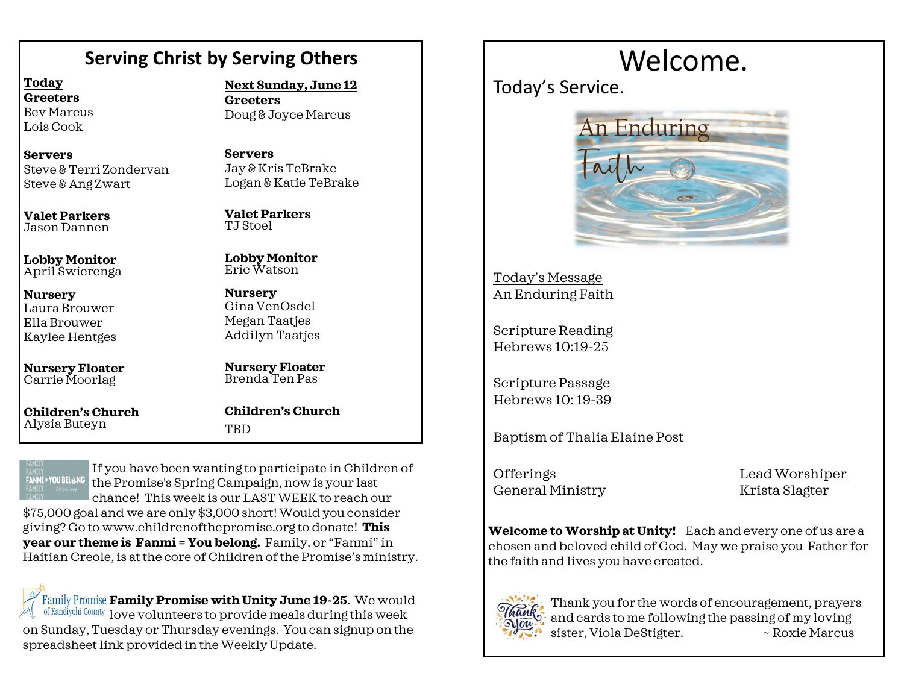## **Serving Christ by Serving Others**

**Today Greeters** Bev Marcus Lois Cook

**Servers** Steve & Terri Zondervan Steve & Ang Zwart

**Valet Parkers** Jason Dannen

**Lobby Monitor** April Swierenga

**Nursery** Laura Brouwer Ella Brouwer Kaylee Hentges

**Nursery Floater** Carrie Moorlag

**Children's Church**  Alysia Buteyn

**Next Sunday, June 12**

**Greeters** Doug & Joyce Marcus

**Servers** Jay & Kris TeBrake Logan & Katie TeBrake

**Valet Parkers** TJ Stoel

**Lobby Monitor** Eric Watson

**Nursery** Gina VenOsdel Megan Taatjes Addilyn Taatjes

**Nursery Floater** Brenda Ten Pas

**Children's Church TBD** 

**FANMI = YOU BEL & NG** 

If you have been wanting to participate in Children of the Promise's Spring Campaign, now is your last chance! This week is our LAST WEEK to reach our

\$75,000 goal and we are only \$3,000 short! Would you consider giving? Go to www.childrenofthepromise.org to donate! **This year our theme is Fanmi = You belong.** Family, or "Fanmi" in Haitian Creole, is at the core of Children of the Promise's ministry.

Family Promise Family Promise with Unity June 19-25. We would of Kandiyohi County love volunteers to provide meals during this week on Sunday, Tuesday or Thursday evenings. You can signup on the spreadsheet link provided in the Weekly Update.

# Welcome.

Today's Service.



Today's Message An Enduring Faith

Scripture Reading Hebrews 10:19-25

Scripture Passage Hebrews 10: 19-39

Baptism of Thalia Elaine Post

OfferingsLead Worshiper General Ministry Krista Slagter

**Welcome to Worship at Unity!** Each and every one of us are a chosen and beloved child of God. May we praise you Father for the faith and lives you have created.



Thank you for the words of encouragement, prayers and cards to me following the passing of my loving sister, Viola DeStigter.  $\sim$  Roxie Marcus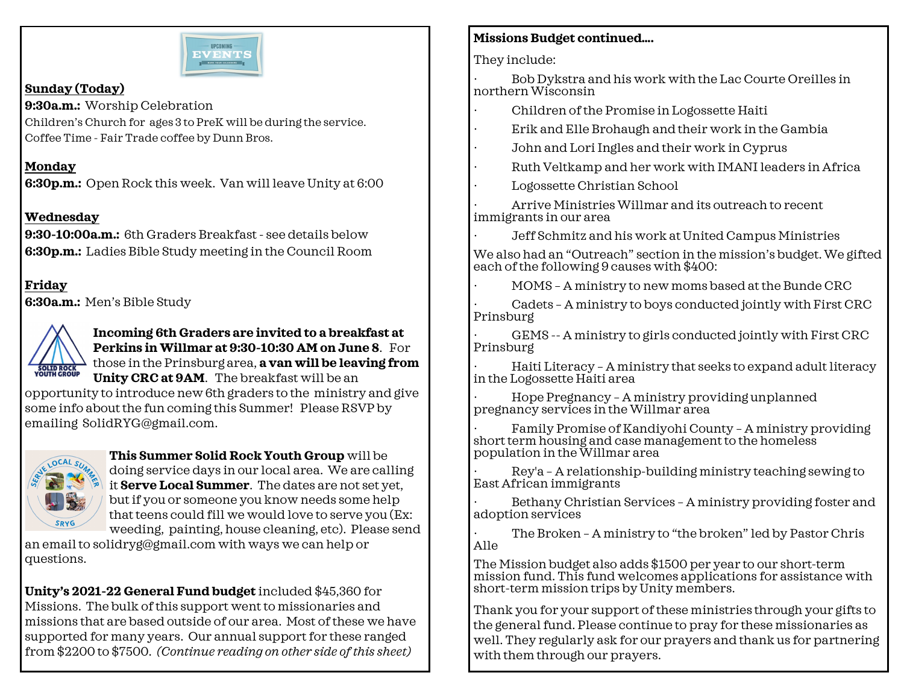

#### **Sunday (Today)**

**9:30a.m.:** Worship Celebration Children's Church for ages 3 to PreK will be during the service. Coffee Time - Fair Trade coffee by Dunn Bros.

#### **Monday**

**6:30p.m.:** Open Rock this week. Van will leave Unity at 6:00

#### **Wednesday**

**9:30-10:00a.m.:** 6th Graders Breakfast - see details below **6:30p.m.:** Ladies Bible Study meeting in the Council Room

**Friday 6:30a.m.:** Men's Bible Study



**Incoming 6th Graders are invited to a breakfast at Perkins in Willmar at 9:30-10:30 AM on June 8**. For those in the Prinsburg area, **a van will be leaving from Unity CRC at 9AM**. The breakfast will be an

opportunity to introduce new 6th graders to the ministry and give some info about the fun coming this Summer! Please RSVP by emailing SolidRYG@gmail.com.



**This Summer Solid Rock Youth Group** will be doing service days in our local area. We are calling it **Serve Local Summer**. The dates are not set yet, but if you or someone you know needs some help that teens could fill we would love to serve you (Ex: weeding, painting, house cleaning, etc). Please send

an email to solidryg@gmail.com with ways we can help or questions.

**Unity's 2021-22 General Fund budget** included \$45,360 for Missions. The bulk of this support went to missionaries and missions that are based outside of our area. Most of these we have supported for many years. Our annual support for these ranged from \$2200 to \$7500. *(Continue reading on other side of this sheet)*

#### **Missions Budget continued….**

They include:

· Bob Dykstra and his work with the Lac Courte Oreilles in northern Wisconsin

- · Children of the Promise in Logossette Haiti
- · Erik and Elle Brohaugh and their work in the Gambia
- John and Lori Ingles and their work in Cyprus
- · Ruth Veltkamp and her work with IMANI leaders in Africa
- Logossette Christian School

· Arrive Ministries Willmar and its outreach to recent immigrants in our area

· Jeff Schmitz and his work at United Campus Ministries

We also had an "Outreach" section in the mission's budget. We gifted each of the following 9 causes with \$400:

· MOMS – A ministry to new moms based at the Bunde CRC

· Cadets – A ministry to boys conducted jointly with First CRC Prinsburg

GEMS -- A ministry to girls conducted jointly with First CRC Prinsburg

· Haiti Literacy – A ministry that seeks to expand adult literacy in the Logossette Haiti area

· Hope Pregnancy – A ministry providing unplanned pregnancy services in the Willmar area

Family Promise of Kandiyohi County - A ministry providing short term housing and case management to the homeless population in the Willmar area

· Rey'a – A relationship-building ministry teaching sewing to East African immigrants

Bethany Christian Services - A ministry providing foster and adoption services

The Broken - A ministry to "the broken" led by Pastor Chris Alle

The Mission budget also adds \$1500 per year to our short-term mission fund. This fund welcomes applications for assistance with short-term mission trips by Unity members.

Thank you for your support of these ministries through your gifts to the general fund. Please continue to pray for these missionaries as well. They regularly ask for our prayers and thank us for partnering with them through our prayers.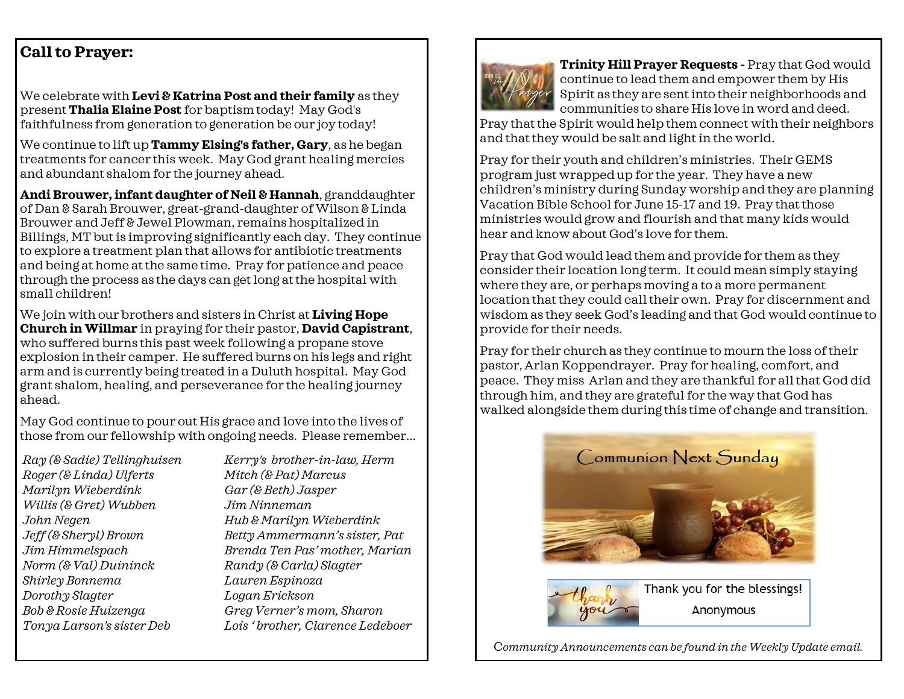### **Call to Prayer:**

We celebrate with **Levi & Katrina Post and their family** as they present **Thalia Elaine Post** for baptism today! May God's faithfulness from generation to generation be our joy today!

We continue to lift up **Tammy Elsing's father, Gary**, as he began treatments for cancer this week. May God grant healing mercies and abundant shalom for the journey ahead.

**Andi Brouwer, infant daughter of Neil & Hannah**, granddaughter of Dan & Sarah Brouwer, great-grand-daughter of Wilson & Linda Brouwer and Jeff & Jewel Plowman, remains hospitalized in Billings, MT but is improving significantly each day. They continue to explore a treatment plan that allows for antibiotic treatments and being at home at the same time. Pray for patience and peace through the process as the days can get long at the hospital with small children!

We join with our brothers and sisters in Christ at **Living Hope Church in Willmar** in praying for their pastor, **David Capistrant**, who suffered burns this past week following a propane stove explosion in their camper. He suffered burns on his legs and right arm and is currently being treated in a Duluth hospital. May God grant shalom, healing, and perseverance for the healing journey ahead.

May God continue to pour out His grace and love into the lives of those from our fellowship with ongoing needs. Please remember...

*Ray (& Sadie) Tellinghuisen Roger (& Linda) Ulferts Marilyn Wieberdink Willis (& Gret) Wubben John Negen Jeff (& Sheryl) Brown Jim Himmelspach Norm (& Val) Duininck Shirley Bonnema Dorothy Slagter Bob & Rosie Huizenga Tonya Larson's sister Deb* 

*Kerry's brother-in-law, Herm Mitch (& Pat) Marcus Gar (& Beth) Jasper Jim Ninneman Hub & Marilyn Wieberdink Betty Ammermann's sister, Pat Brenda Ten Pas' mother, Marian Randy (& Carla) Slagter Lauren Espinoza Logan Erickson Greg Verner's mom, Sharon Lois ' brother, Clarence Ledeboer*



**Trinity Hill Prayer Requests -** Pray that God would continue to lead them and empower them by His Spirit as they are sent into their neighborhoods and communities to share His love in word and deed.

Pray that the Spirit would help them connect with their neighbors and that they would be salt and light in the world.

Pray for their youth and children's ministries. Their GEMS program just wrapped up for the year. They have a new children's ministry during Sunday worship and they are planning Vacation Bible School for June 15-17 and 19. Pray that those ministries would grow and flourish and that many kids would hear and know about God's love for them.

Pray that God would lead them and provide for them as they consider their location long term. It could mean simply staying where they are, or perhaps moving a to a more permanent location that they could call their own. Pray for discernment and wisdom as they seek God's leading and that God would continue to provide for their needs.

Pray for their church as they continue to mourn the loss of their pastor, Arlan Koppendrayer. Pray for healing, comfort, and peace. They miss Arlan and they are thankful for all that God did through him, and they are grateful for the way that God has walked alongside them during this time of change and transition.





Thank you for the blessings! Anonymous

C*ommunity Announcements can be found in the Weekly Update email.*